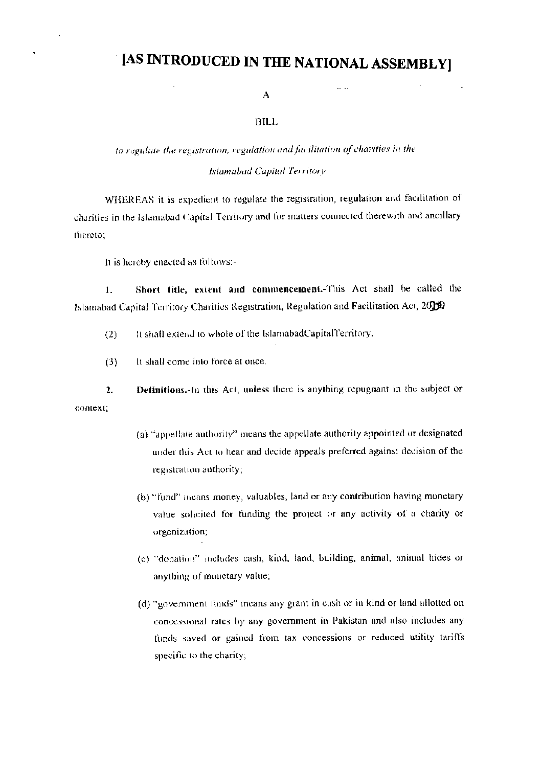# [AS INTRODUCED IN THE NATIONAL ASSEMBLY]

 $\sim$   $\sim$ 

#### A

#### BILL

## to regulate the registration, regulation and facilitation of charities in the Islamabad Capital Territory

WHEREAS it is expedient to regulate the registration, regulation and facilitation of charities in the Islamabad Capital Territory and for matters connected therewith and ancillary thereto:

It is hereby enacted as follows:-

Short title, extent and commencement. This Act shall be called the  $\mathbf{L}$ Islamabad Capital Territory Charities Registration, Regulation and Facilitation Act, 2000

- It shall extend to whole of the IslamabadCapitalTerritory.  $(2)$
- $(3)$ It shall come into force at once.

Definitions. In this Act, unless there is anything repugnant in the subject or  $2.$ context:

- (a) "appellate authority" means the appellate authority appointed or designated under this Act to hear and decide appeals preferred against decision of the registration authority;
- (b) "fund" means money, valuables, land or any contribution having monetary value solicited for funding the project or any activity of a charity or organization;
- (c) "donation" includes cash, kind, land, building, animal, animal hides or anything of monetary value,
- (d) "government funds" means any grant in cash or in kind or land allotted on concessional rates by any government in Pakistan and also includes any funds saved or gained from tax concessions or reduced utility tariffs specific to the charity;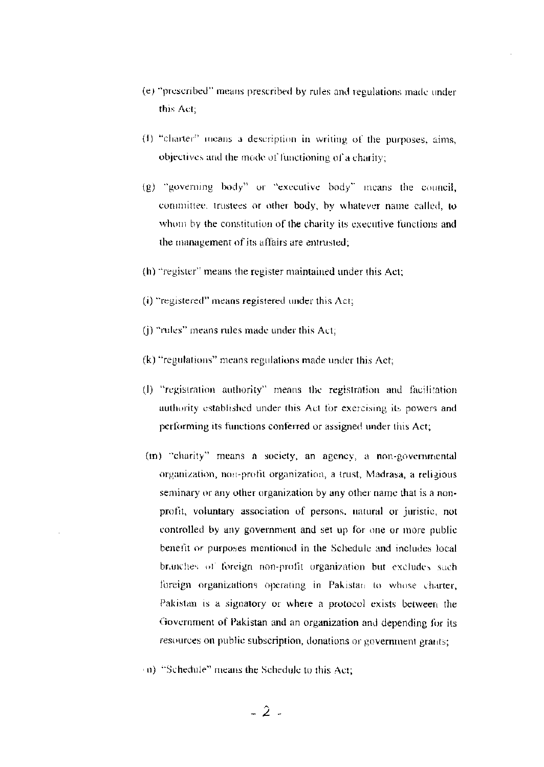- (e) "prescribed" means prescribed by rules and regulations made under this Act:
- (f) "charter" means a description in writing of the purposes, aims, objectives and the mode of functioning of a charity;
- (g) "governing body" or "executive body" means the council, committee, trustees or other body, by whatever name called, to whom by the constitution of the charity its executive functions and the management of its affairs are entrusted;
- (h) "register" means the register maintained under this Act;
- (i) "registered" means registered under this Act;
- (i) "rules" means rules made under this Act;
- (k) "regulations" means regulations made under this Act;
- (I) "registration authority" means the registration and facilitation authority established under this Act for exercising its powers and performing its functions conferred or assigned under this Act;
- (m) "charity" means a society, an agency, a non-governmental organization, non-profit organization, a trust, Madrasa, a religious seminary or any other organization by any other name that is a nonprofit, voluntary association of persons, natural or juristic, not controlled by any government and set up for one or more public benefit or purposes mentioned in the Schedule and includes local branches of foreign non-profit organization but excludes such foreign organizations operating in Pakistan to whose charter, Pakistan is a signatory or where a protocol exists between the Government of Pakistan and an organization and depending for its resources on public subscription, donations or government grants;
- (iii) "Schedule" means the Schedule to this Act;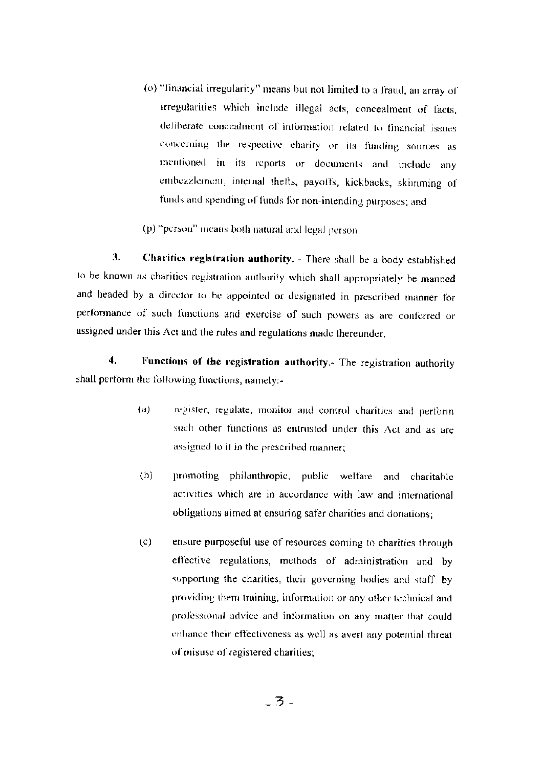- (o) "financial irregularity" means but not limited to a fraud, an array of irregularities which include illegal acts, concealment of facts, deliberate concealment of information related to financial issues concerning the respective charity or its funding sources as mentioned in its reports or documents and include any embezzlement, internal thefts, payoffs, kickbacks, skinnning of funds and spending of funds for non-intending purposes; and
- (p) "person" means both natural and legal person.

3. Charities registration authority. - There shall be a body established to be known as charities registration authority which shall appropriately be manned and headed by a director to be appointed or designated in prescribed manner for performance of such functions and exercise of such powers as are conferred or assigned under this Act and the rules and regulations made thereunder.

 $\overline{\mathbf{4}}$ . Functions of the registration authority. The registration authority shall perform the following functions, namely:-

- $(a)$ register, regulate, monitor and control charities and perform such other functions as entrusted under this Act and as are assigned to it in the prescribed manner;
- $(h)$ promoting philanthropic, public welfare and charitable activities which are in accordance with law and international obligations aimed at ensuring safer charities and donations;
- ensure purposeful use of resources coming to charities through  $(c)$ effective regulations, methods of administration and by supporting the charities, their governing bodies and staff by providing them training, information or any other technical and professional advice and information on any matter that could enhance their effectiveness as well as avert any potential threat of misuse of registered charities;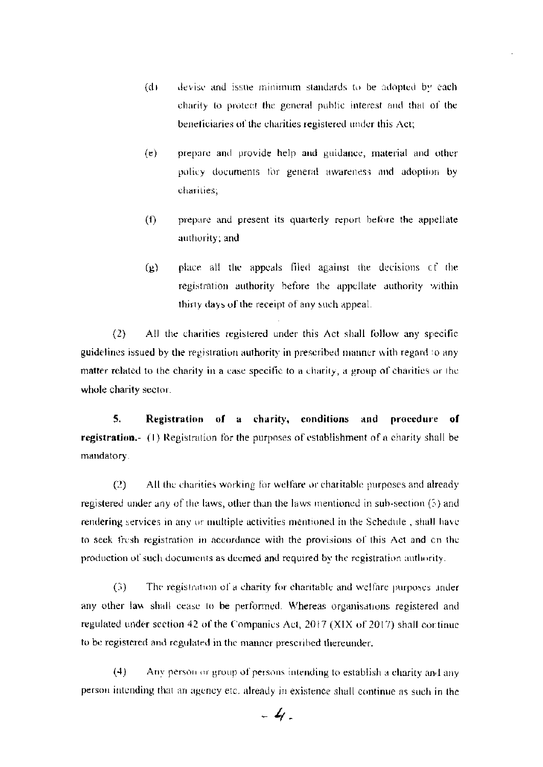- $(d)$ devise and issue minimum standards to be adopted by each charity to protect the general public interest and that of the beneficiaries of the charities registered under this Act;
- $(e)$ prepare and provide help and guidance, material and other policy documents for general awareness and adoption by charities;
- $(f)$ prepare and present its quarterly report before the appellate authority; and
- place all the appeals filed against the decisions of the  $(9)$ registration authority before the appellate authority within thirty days of the receipt of any such appeal.

 $(2)$ All the charities registered under this Act shall follow any specific guidelines issued by the registration authority in prescribed manner with regard to any matter related to the charity in a case specific to a charity, a group of charities or the whole charity sector.

5. Registration of a charity, conditions and procedure of registration.- (1) Registration for the purposes of establishment of a charity shall be mandatory.

All the charities working for welfare or charitable purposes and already  $(2)$ registered under any of the laws, other than the laws mentioned in sub-section (5) and rendering services in any or multiple activities mentioned in the Schedule, shall have to seek fresh registration in accordance with the provisions of this Act and on the production of such documents as deemed and required by the registration authority.

The registration of a charity for charitable and welfare purposes inder  $(3)$ any other law shall cease to be performed. Whereas organisations registered and regulated under section 42 of the Companies Act, 2017 (XIX of 2017) shall continue to be registered and regulated in the manner prescribed thereunder.

 $(4)$ Any person or group of persons intending to establish a charity and any person intending that an agency etc. already in existence shall continue as such in the

 $-4$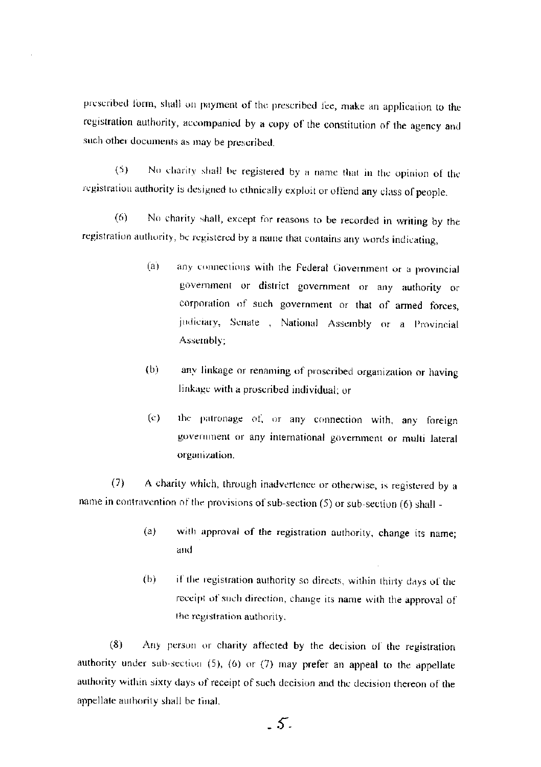prescribed form, shall on payment of the prescribed fee, make an application to the registration authority, accompanied by a copy of the constitution of the agency and such other documents as may be prescribed.

No charity shall be registered by a name that in the opinion of the  $(5)$ registration authority is designed to ethnically exploit or offend any class of people.

No charity shall, except for reasons to be recorded in writing by the  $(6)$ registration authority, be registered by a name that contains any words indicating,

- $(a)$ any connections with the Federal Government or a provincial government or district government or any authority or corporation of such government or that of armed forces, judiciary, Senate , National Assembly or a Provincial Assembly;
- $(b)$ any linkage or renaming of proscribed organization or having linkage with a proscribed individual; or
- $\left( c\right)$ the patronage of, or any connection with, any foreign government or any international government or multi lateral organization.

 $(7)$ A charity which, through inadvertence or otherwise, is registered by a name in contravention of the provisions of sub-section (5) or sub-section (6) shall -

- with approval of the registration authority, change its name;  $(a)$ and
- $(b)$ if the registration authority so directs, within thirty days of the receipt of such direction, change its name with the approval of the registration authority.

 $(8)$ Any person or charity affected by the decision of the registration authority under sub-section (5), (6) or (7) may prefer an appeal to the appellate authority within sixty days of receipt of such decision and the decision thereon of the appellate authority shall be final.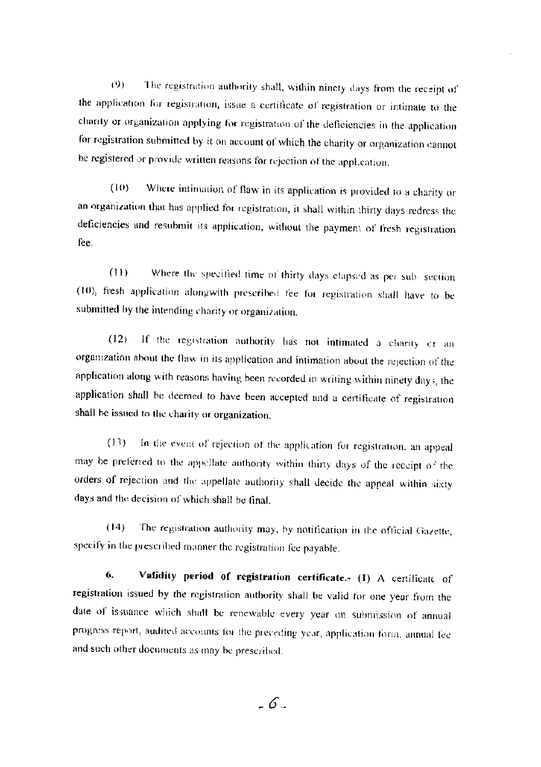The registration authority shall, within ninety days from the receipt of  $(9)$ the application for registration, issue a certificate of registration or intimate to the charity or organization applying for registration of the deficiencies in the application for registration submitted by it on account of which the charity or organization cannot be registered or provide written reasons for rejection of the appl.cation.

 $(10)$ Where intimation of flaw in its application is provided to a charity or an organization that has applied for registration, it shall within thirty days redress the deficiencies and resubmit its application, without the payment of fresh registration fee.

Where the specified time of thirty days elapsed as per sub-section  $(11)$ (10), fresh application alongwith prescribed fee for registration shall have to be submitted by the intending charity or organization.

If the registration authority has not intimated a charity cr an  $(12)$ organization about the flaw in its application and intimation about the rejection of the application along with reasons having been recorded in writing within ninety days, the application shall be deemed to have been accepted and a certificate of registration shall be issued to the charity or organization.

In the event of rejection of the application for registration, an appeal  $(13)$ may be preferred to the appellate authority within thirty days of the receipt of the orders of rejection and the appellate authority shall decide the appeal within sixty days and the decision of which shall be final.

 $(14)$ The registration authority may, by notification in the official Gazette, specify in the prescribed manner the registration fee payable.

Validity period of registration certificate. (1) A certificate of 6. registration issued by the registration authority shall be valid for one year from the date of issuance which shall be renewable every year on submission of annual progress report, audited accounts for the preceding year, application form, annual fee and such other documents as may be prescribed.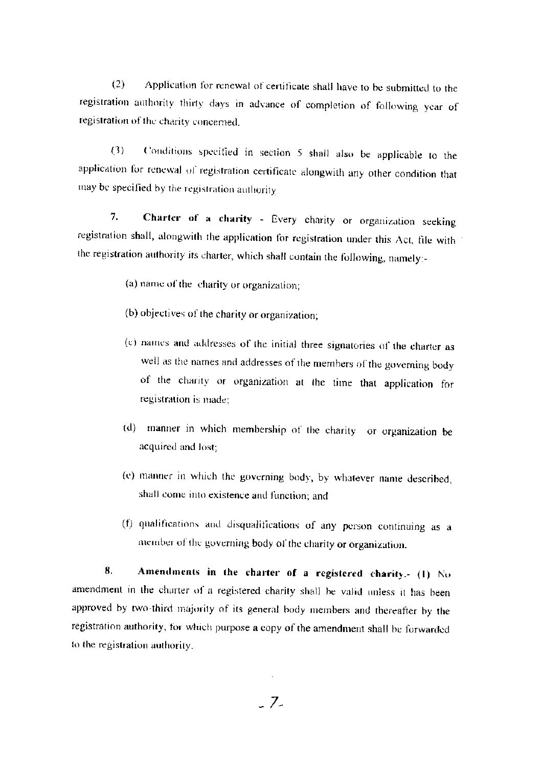Application for renewal of certificate shall have to be submitted to the  $(2)$ registration authority thirty days in advance of completion of following year of registration of the charity concerned.

Conditions specified in section 5 shall also be applicable to the  $(3)$ application for renewal of registration certificate alongwith any other condition that may be specified by the registration authority

Charter of a charity - Every charity or organization seeking 7. registration shall, alongwith the application for registration under this Act, file with the registration authority its charter, which shall contain the following, namely:-

(a) name of the charity or organization;

- (b) objectives of the charity or organization;
- (c) names and addresses of the initial three signatories of the charter as well as the names and addresses of the members of the governing body of the charity or organization at the time that application for registration is made;
- (d) manner in which membership of the charity or organization be acquired and lost;
- (e) manner in which the governing body, by whatever name described, shall come into existence and function; and
- (f) qualifications and disqualifications of any person continuing as a member of the governing body of the charity or organization.

Amendments in the charter of a registered charity.- (1) No 8. amendment in the charter of a registered charity shall be valid unless it has been approved by two-third majority of its general body members and thereafter by the registration authority, for which purpose a copy of the amendment shall be forwarded to the registration authority.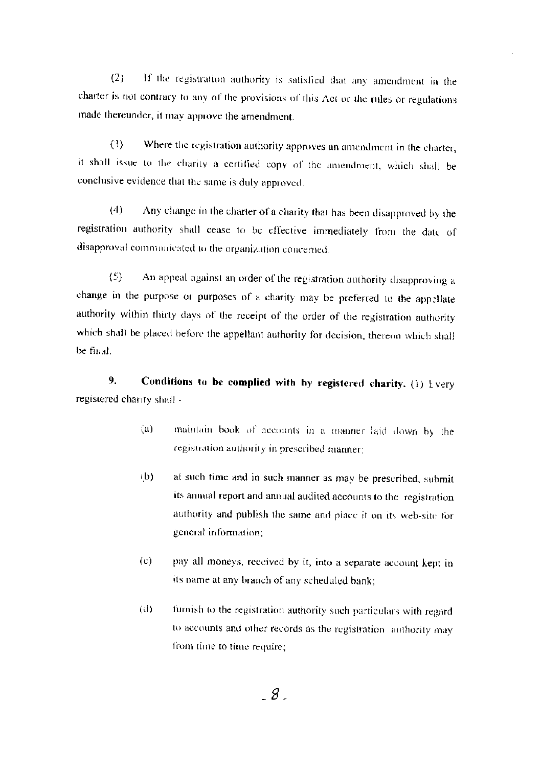If the registration authority is satisfied that any amendment in the  $(2)$ charter is not contrary to any of the provisions of this Act or the rules or regulations made thereunder, it may approve the amendment.

Where the registration authority approves an amendment in the charter,  $(3)$ it shall issue to the charity a certified copy of the amendment, which shall be conclusive evidence that the same is duly approved.

 $(4)$ Any change in the charter of a charity that has been disapproved by the registration authority shall cease to be effective immediately from the date of disapproval communicated to the organization concerned.

 $(5)$ An appeal against an order of the registration authority disapproving a change in the purpose or purposes of a charity may be preferred to the appellate authority within thirty days of the receipt of the order of the registration authority which shall be placed before the appellant authority for decision, thereon which shall be final

9. Conditions to be complied with by registered charity. (1)  $1$  very registered chanty shall -

- $(a)$ maintain book of accounts in a manner laid down by the registration authority in prescribed manner;
- at such time and in such manner as may be prescribed, submit  $(b)$ its annual report and annual audited accounts to the registration authority and publish the same and place it on its web-site for general information;
- $(c)$ pay all moneys, received by it, into a separate account kent in its name at any branch of any scheduled bank;
- furnish to the registration authority such particulars with regard  $(d)$ to accounts and other records as the registration authority may from time to time require;

 $\overline{8}$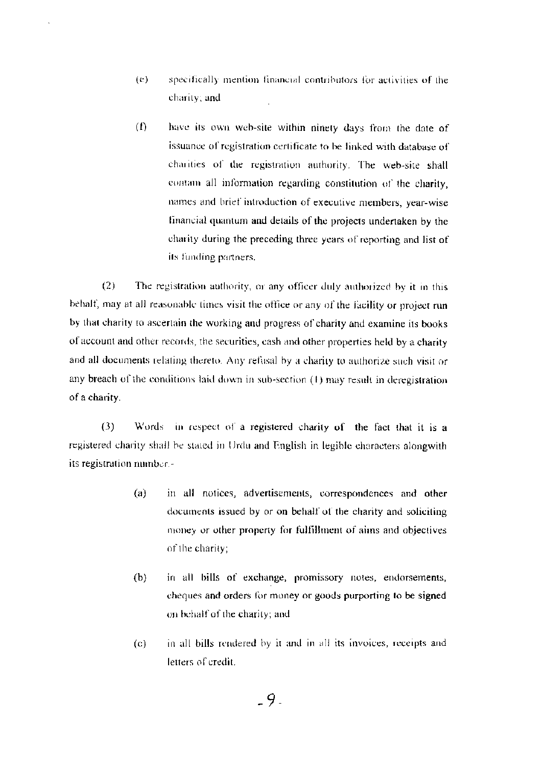- specifically mention financial contributors for activities of the  $(e)$ charity; and
- $(1)$ have its own web-site within ninety days from the date of issuance of registration certificate to be linked with database of charities of the registration authority. The web-site shall contain all information regarding constitution of the charity, names and brief introduction of executive members, year-wise financial quantum and details of the projects undertaken by the charity during the preceding three years of reporting and list of its funding partners.

 $(2)$ The registration authority, or any officer duly authorized by it in this behalf, may at all reasonable times visit the office or any of the facility or project run by that charity to ascertain the working and progress of charity and examine its books of account and other records, the securities, cash and other properties held by a charity and all documents relating thereto. Any refusal by a charity to authorize such visit or any breach of the conditions laid down in sub-section (1) may result in deregistration of a charity.

 $(3)$ Words in respect of a registered charity of the fact that it is a registered charity shall be stated in Urdu and English in legible characters alongwith its registration number.-

- $(a)$ in all notices, advertisements, correspondences and other documents issued by or on behalf of the charity and soliciting money or other property for fulfillment of aims and objectives of the charity;
- $(b)$ in all bills of exchange, promissory notes, endorsements, cheques and orders for money or goods purporting to be signed on behalf of the charity; and
- $(c)$ in all bills rendered by it and in all its invoices, receipts and letters of credit.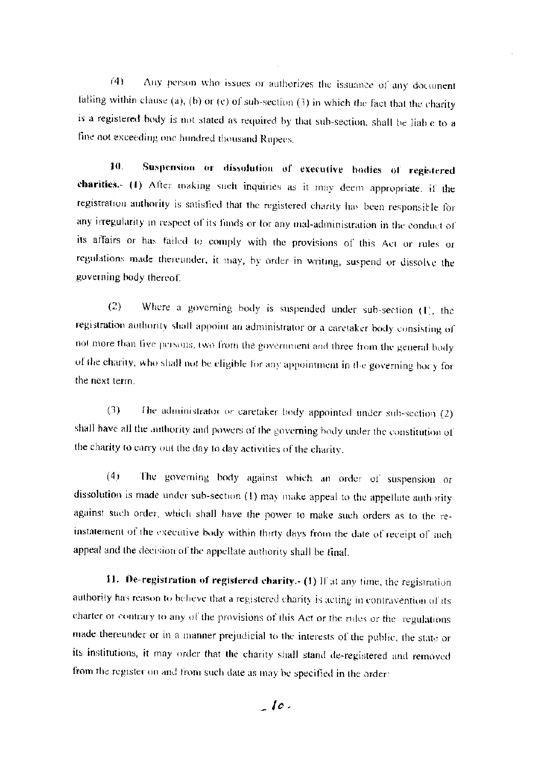Any person who issues or authorizes the issuance of any document  $(4)$ falling within clause (a), (b) or (c) of sub-section (3) in which the fact that the charity is a registered body is not stated as required by that sub-section, shall be liable to a fine not exceeding one hundred thousand Rupees.

Suspension or dissolution of executive bodies of registered 10. charities.- (1) After making such inquiries as it may deem appropriate. if the registration authority is satisfied that the registered charity has been responsible for any irregularity in respect of its funds or for any mal-administration in the conduct of its affairs or has failed to comply with the provisions of this Act or rules or regulations made thereunder, it may, by order in writing, suspend or dissolve the governing body thereof.

Where a governing body is suspended under sub-section (I), the  $(2)$ registration authority shall appoint an administrator or a caretaker body consisting of not more than five persons, two from the government and three from the general body of the charity, who shall not be eligible for any appointment in the governing bocy for the next term.

 $(3)$ The administrator or caretaker body appointed under sub-section (2) shall have all the authority and powers of the governing body under the constitution of the charity to carry out the day to day activities of the charity.

The governing body against which an order of suspension or  $(4)$ dissolution is made under sub-section (1) may make appeal to the appellate authority against such order, which shall have the power to make such orders as to the reinstatement of the executive body within thirty days from the date of receipt of such appeal and the decision of the appellate authority shall be final.

11. De-registration of registered charity. (1) If at any time, the registration authority has reason to believe that a registered charity is acting in contravention of its charter or contrary to any of the provisions of this Act or the rules or the regulations made thereunder or in a manner prejudicial to the interests of the public, the state or its institutions, it may order that the charity shall stand de-registered and removed from the register on and from such date as may be specified in the order: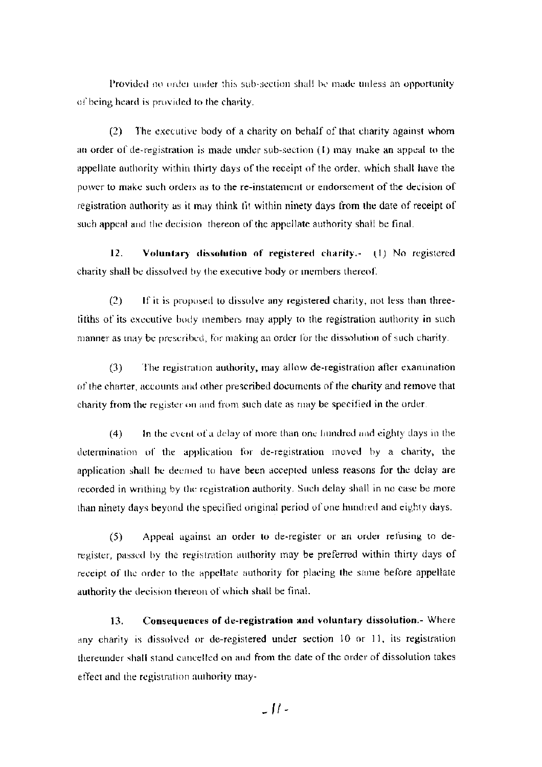Provided no order under this sub-section shall be made unless an opportunity of being heard is provided to the charity.

The executive body of a charity on behalf of that charity against whom  $(2)$ an order of de-registration is made under sub-section  $(1)$  may make an appeal to the appellate authority within thirty days of the receipt of the order, which shall have the power to make such orders as to the re-instatement or endorsement of the decision of registration authority as it may think tit within ninety days from the date of receipt of such appeal and the decision thereon of the appellate authority shall be final.

 $12.$ Voluntary dissolution of registered charity.- (1) No registered charity shall be dissolved by the executive body or members thereof.

 $(2)$ If it is proposed to dissolve any registered charity, not less than threetifths of its executive body members may apply to the registration authority in such manner as may be prescribed, for making an order for the dissolution of such charity.

 $(3)$ The registration authority, may allow de-registration after examination of the charter, accounts and other prescribed documents of the charity and remove that charity from the register on and from such date as may be specified in the order.

In the event of a delay of more than one hundred and eighty days in the  $(4)$ determination of the application for de-registration moved by a charity, the application shall be deemed to have been accepted unless reasons for the delay are recorded in writhing by the registration authority. Such delay shall in no case be more than ninety days beyond the specified original period of one hundred and eighty days.

 $(5)$ Appeal against an order to de-register or an order refusing to deregister, passed by the registration authority may be preferred within thirty days of receipt of the order to the appellate authority for placing the same before appellate authority the decision thereon of which shall be final.

Consequences of de-registration and voluntary dissolution.- Where 13. any charity is dissolved or de-registered under section 10 or 11, its registration thereunder shall stand cancelled on and from the date of the order of dissolution takes effect and the registration authority may-

 $\lfloor H \rfloor$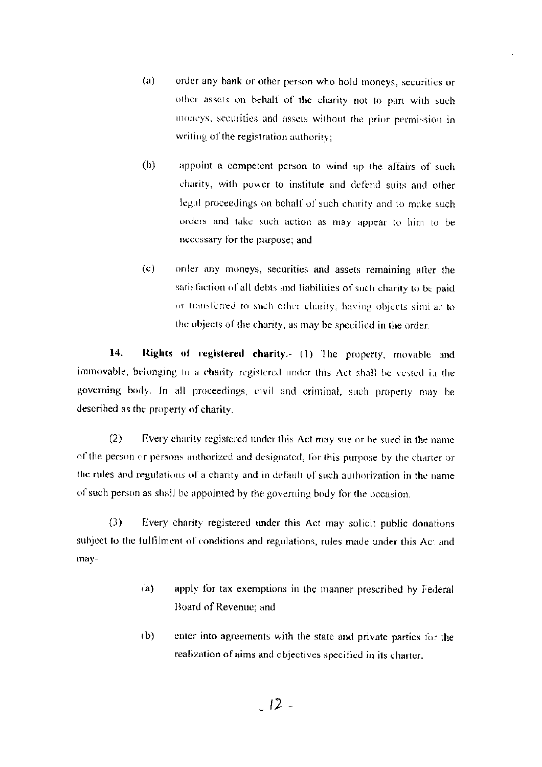- $(a)$ order any bank or other person who hold moneys, securities or other assets on behalf of the charity not to part with such moneys, securities and assets without the prior permission in writing of the registration authority;
- $(b)$ appoint a competent person to wind up the affairs of such charity, with power to institute and defend suits and other legal proceedings on behalf of such charity and to make such orders and take such action as may appear to him to be necessary for the purpose; and
- $(c)$ order any moneys, securities and assets remaining after the satisfaction of all debts and liabilities of such charity to be paid or transferred to such other charity, having objects simi ar to the objects of the charity, as may be specified in the order.

14. Rights of registered charity.- (1) The property, movable and immovable, belonging to a charity registered under this Act shall be vested in the governing body. In all proceedings, civil and criminal, such property may be described as the property of charity.

Every charity registered under this Act may sue or be sued in the name  $(2)$ of the person or persons authorized and designated, for this purpose by the charter or the rules and regulations of a charity and in default of such authorization in the name of such person as shall be appointed by the governing body for the occasion.

 $(3)$ Every charity registered under this Act may solicit public donations subject to the fulfilment of conditions and regulations, rules made under this Ac: and may-

- apply for tax exemptions in the manner prescribed by Federal  $(a)$ Board of Revenue; and
- $(b)$ enter into agreements with the state and private parties for the realization of aims and objectives specified in its charter.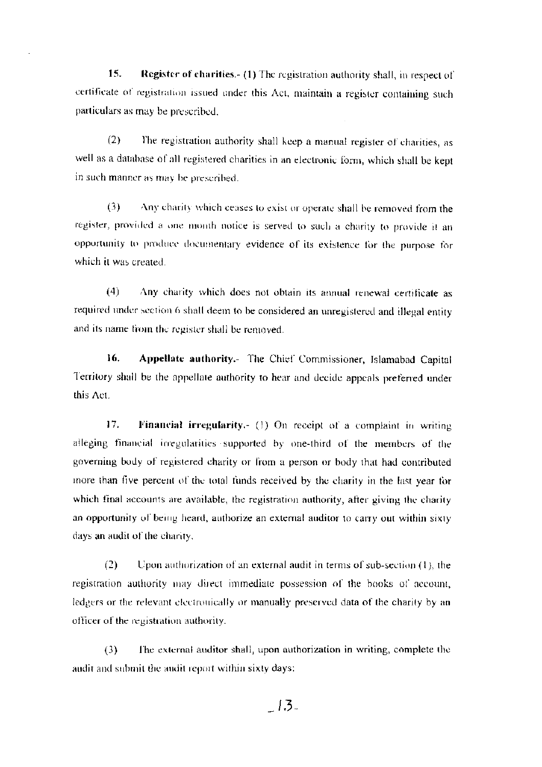15. Register of charities.- (1) The registration authority shall, in respect of certificate of registration issued under this Act, maintain a register containing such particulars as may be prescribed.

 $(2)$ The registration authority shall keep a manual register of charities, as well as a database of all registered charities in an electronic form, which shall be kept in such manner as may be prescribed.

Any charity which ceases to exist or operate shall be removed from the  $(3)$ register, provided a one month notice is served to such a charity to provide it an opportunity to produce documentary evidence of its existence for the purpose for which it was created.

 $(4)$ Any charity which does not obtain its annual renewal certificate as required under section 6 shall deem to be considered an unregistered and illegal entity and its name from the register shall be removed.

16. Appellate authority.- The Chief Commissioner, Islamabad Capital Territory shall be the appellate authority to hear and decide appeals preferred under this Act.

17. Financial irregularity.- (1) On receipt of a complaint in writing alleging financial irregularities supported by one-third of the members of the governing body of registered charity or from a person or body that had contributed more than five percent of the total funds received by the charity in the last year for which final accounts are available, the registration authority, after giving the charity an opportunity of being heard, authorize an external auditor to carry out within sixty days an audit of the charity.

 $(2)$ Upon authorization of an external audit in terms of sub-section  $(1)$ , the registration authority may direct immediate possession of the books of account, ledgers or the relevant electronically or manually preserved data of the charity by an officer of the registration authority.

The external auditor shall, upon authorization in writing, complete the  $(3)$ audit and submit the audit report within sixty days:

 $-13.$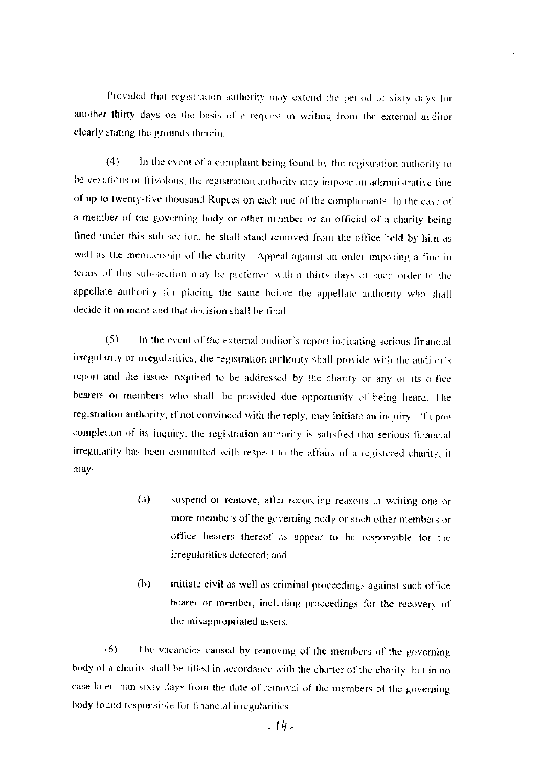Provided that registration authority may extend the period of sixty days for another thirty days on the basis of a request in writing from the external arditor clearly stating the grounds therein.

In the event of a complaint being found by the registration authority to  $(4)$ be vexations or frivolous, the registration authority may impose an administrative fine of up to twenty-five thousand Rupees on each one of the complainants. In the case of a member of the governing body or other member or an official of a charity being fined under this sub-section, he shall stand removed from the office held by him as well as the membership of the charity. Appeal against an order imposing a fine in terms of this sub-section may be preferred within thirty days of such order to the appellate authority for placing the same before the appellate authority who shall decide it on merit and that decision shall be final.

 $(5)$ In the event of the external auditor's report indicating serious financial irregularity or irregularities, the registration authority shall provide with the auditor's report and the issues required to be addressed by the charity or any of its office bearers or members who shall be provided due opportunity of being heard. The registration authority, if not convinced with the reply, may initiate an inquiry. If upon completion of its inquiry, the registration authority is satisfied that serious financial irregularity has been committed with respect to the affairs of a registered charity, it may-

- $(a)$ suspend or remove, after recording reasons in writing one or more members of the governing body or such other members or office bearers thereof as appear to be responsible for the irregularities detected; and
- $(b)$ initiate civil as well as criminal proceedings against such office bearer or member, including proceedings for the recovery of the misappropriated assets.

 $(6)$ The vacancies caused by removing of the members of the governing body of a charity shall be filled in accordance with the charter of the charity, but in no case later than sixty days from the date of removal of the members of the governing body found responsible for financial irregularities.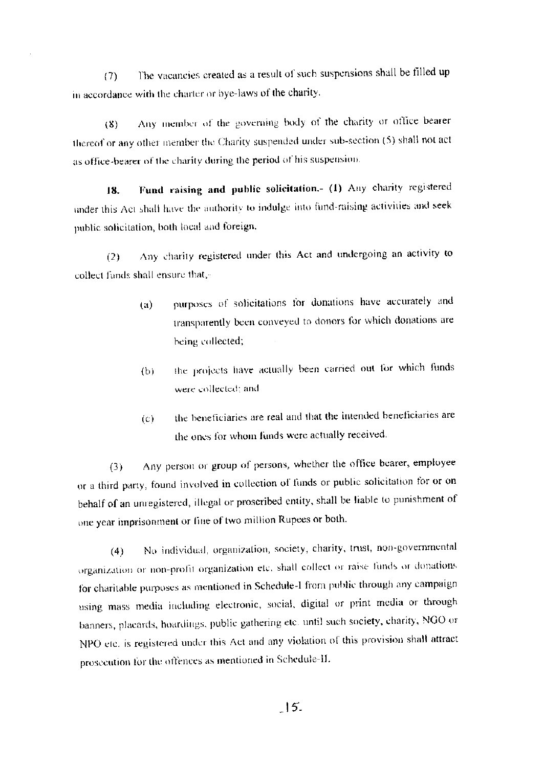The vacancies created as a result of such suspensions shall be filled up  $(7)$ in accordance with the charter or bye-laws of the charity.

Any member of the governing body of the charity or office bearer  $(8)$ thereof or any other member the Charity suspended under sub-section (5) shall not act as office-bearer of the charity during the period of his suspension.

Fund raising and public solicitation.- (1) Any charity registered 18. under this Act shall have the authority to indulge into fund-raising activities and seek public solicitation, both local and foreign.

Any charity registered under this Act and undergoing an activity to  $(2)$ collect funds shall ensure that,-

- purposes of solicitations for donations have accurately and  $\left( a\right)$ transparently been conveyed to donors for which donations are being collected;
- the projects have actually been carried out for which funds  $(b)$ were collected; and
- the beneficiaries are real and that the intended beneficiaries are  $(c)$ the ones for whom funds were actually received.

Any person or group of persons, whether the office bearer, employee  $(3)$ or a third party, found involved in collection of funds or public solicitation for or on behalf of an unregistered, illegal or proscribed entity, shall be liable to punishment of one year imprisonment or fine of two million Rupees or both.

No individual, organization, society, charity, trust, non-governmental  $(4)$ organization or non-profit organization etc. shall collect or raise funds or donations for charitable purposes as mentioned in Schedule-1 from public through any campaign using mass media including electronic, social, digital or print media or through banners, placards, hoardings, public gathering etc. until such society, charity, NGO or NPO etc. is registered under this Act and any violation of this provision shall attract prosecution for the offences as mentioned in Schedule-II.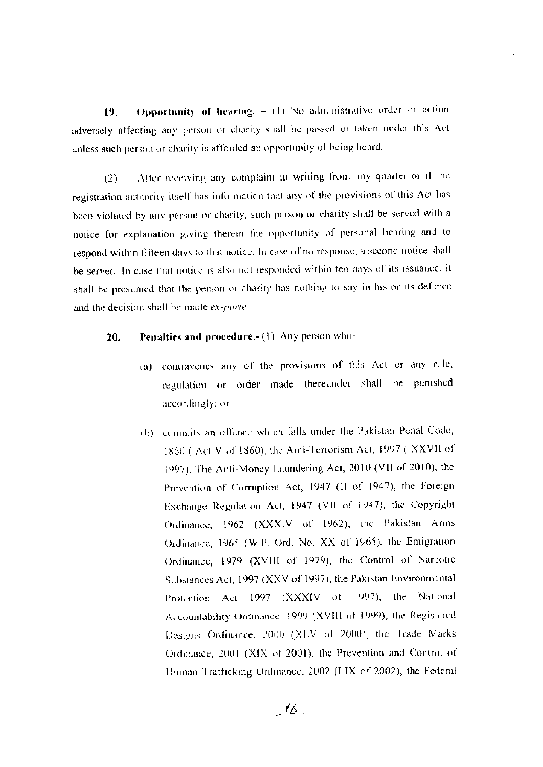Opportunity of hearing.  $-$  (4) No administrative order or action 19. adversely affecting any person or charity shall be passed or taken under this Act unless such person or charity is afforded an opportunity of being heard.

After receiving any complaint in writing from any quarter or if the  $(2)$ registration authority itself has information that any of the provisions of this Act has been violated by any person or charity, such person or charity shall be served with a notice for explanation giving therein the opportunity of personal hearing and to respond within fifteen days to that notice. In case of no response, a second notice shall be served. In case that notice is also not responded within ten days of its issuance, it shall be presumed that the person or charity has nothing to say in his or its defence and the decision shall be made ex-parte.

#### Penalties and procedure.- (1) Any person who-20.

- (a) contravenes any of the provisions of this Act or any rule, regulation or order made thereunder shall be punished accordingly; or
- (b) commits an offence which falls under the Pakistan Penal Code, 1860 (Act V of 1860), the Anti-Terrorism Act, 1997 (XXVII of 1997), The Anti-Money Laundering Act, 2010 (VII of 2010), the Prevention of Corruption Act, 1947 (II of 1947), the Foreign Exchange Regulation Act, 1947 (VII of 1947), the Copyright Ordinance, 1962 (XXXIV of 1962), the Pakistan Arms Ordinance, 1965 (W.P. Ord. No. XX of 1965), the Emigration Ordinance, 1979 (XVIII of 1979), the Control of Narcotic Substances Act, 1997 (XXV of 1997), the Pakistan Environmental Protection Act 1997 (XXXIV of 1997), the National Accountability Ordinance 1999 (XVIII of 1999), the Regis ered Designs Ordinance, 2000 (XLV of 2000), the Trade Marks Ordinance, 2001 (XIX of 2001), the Prevention and Control of Human Trafficking Ordinance, 2002 (LIX of 2002), the Federal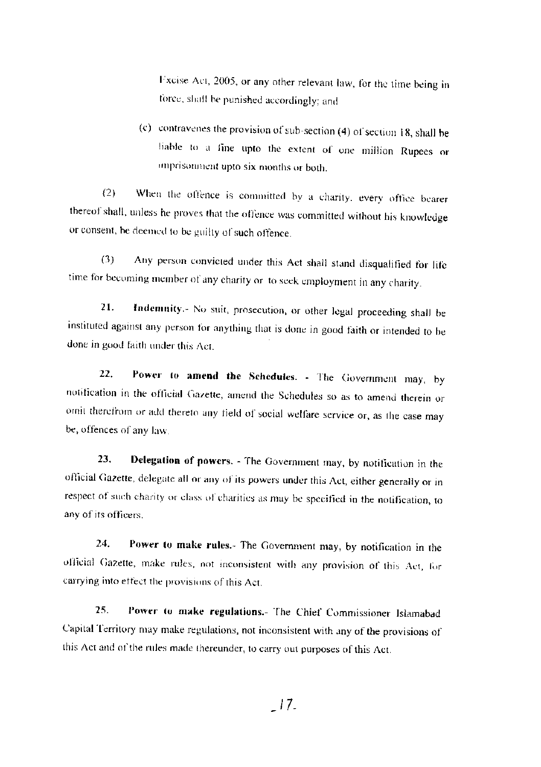Fxcise Act, 2005, or any other relevant law, for the time being in force, shall be punished accordingly; and

(c) contravenes the provision of sub-section (4) of section 18, shall be liable to a fine upto the extent of one million Rupees or imprisonment upto six months or both.

When the offence is committed by a charity, every office bearer  $(2)$ thereof shall, unless he proves that the offence was committed without his knowledge or consent, be deemed to be guilty of such offence.

 $(3)$ Any person convicted under this Act shall stand disqualified for life time for becoming member of any charity or to seek employment in any charity.

Indemnity.- No suit, prosecution, or other legal proceeding shall be 21. instituted against any person for anything that is done in good faith or intended to be done in good faith under this Act.

Power to amend the Schedules. - The Government may, by 22. notification in the official Gazette, amend the Schedules so as to amend therein or omit therefrom or add thereto any field of social welfare service or, as the case may be, offences of any law.

Delegation of powers. - The Government may, by notification in the 23. official Gazette, delegate all or any of its powers under this Act, either generally or in respect of such charity or class of charities as may be specified in the notification, to any of its officers.

Power to make rules.- The Government may, by notification in the 24. official Gazette, make rules, not inconsistent with any provision of this Act, for carrying into effect the provisions of this Act.

25. Power to make regulations.- The Chief Commissioner Islamabad Capital Territory may make regulations, not inconsistent with any of the provisions of this Act and of the rules made thereunder, to carry out purposes of this Act.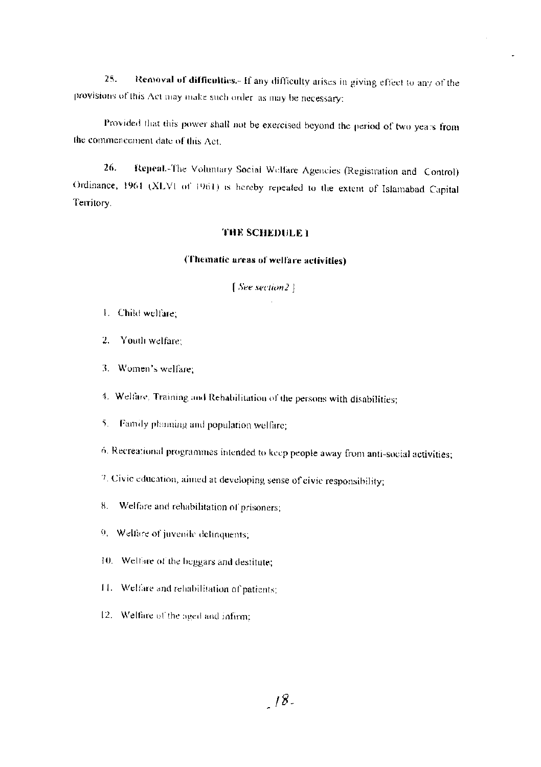Removal of difficulties.- If any difficulty arises in giving effect to any of the 25. provisions of this Act may make such order as may be necessary:

Provided that this power shall not be exercised beyond the period of two years from the commencement date of this Act.

Repeal.-The Voluntary Social Welfare Agencies (Registration and Control) 26. Ordinance, 1964 (XLVI of 1961) is hereby repeated to the extent of Islamabad Capital Territory.

#### THE SCHEDULE 1

### (Thematic areas of welfare activities)

[See section2]

- 1. Child welfare;
- $2.$ Youth welfare:
- 3. Women's welfare:
- 4. Welfare, Training and Rebabilitation of the persons with disabilities;
- 5. Family planning and population welfare;
- 6. Recreational programmes intended to keep people away from anti-social activities;
- 7. Civic education, aimed at developing sense of civic responsibility;
- Welfare and rehabilitation of prisoners; 8.
- 9. Welfare of juvenile delinquents;
- 10. Welfare of the beggars and destitute;
- 11. Welfare and rehabilitation of patients;
- 12. Welfare of the aged and infirm;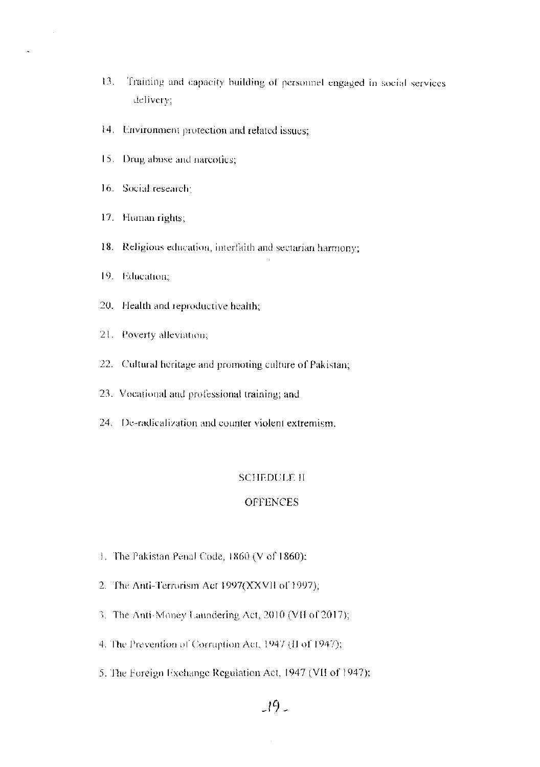- 13. Training and capacity building of personnel engaged in social services delivery;
- 14. Environment protection and related issues;
- 15. Drug abuse and narcotics;
- 16. Social research:
- 17. Human rights;
- 18. Religious education, interfaith and sectarian harmony;
- 19. Education;
- 20. Health and reproductive health;
- 21. Poverty alleviation;
- 22. Cultural heritage and promoting culture of Pakistan;
- 23. Vocational and professional training; and
- 24. De-radicalization and counter violent extremism.

#### **SCHEDULE II**

#### **OFFENCES**

- 1. The Pakistan Penal Code, 1860 (V of 1860);
- 2. The Anti-Terrorism Act 1997(XXVII of 1997);
- 3. The Anti-Money Laundering Act, 2010 (VH of 2017);
- 4. The Prevention of Corruption Act, 1947 (II of 1947);
- 5. The Foreign Exchange Regulation Act, 1947 (VII of 1947);

### $19 -$